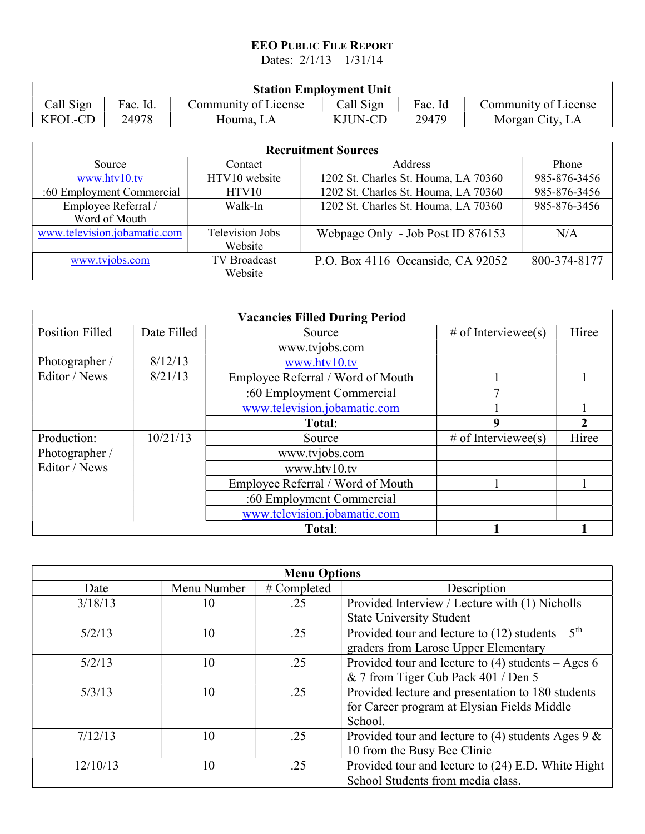## EEO PUBLIC FILE REPORT

Dates: 2/1/13 – 1/31/14

| <b>Station Employment Unit</b> |          |                      |           |         |                      |
|--------------------------------|----------|----------------------|-----------|---------|----------------------|
| Call Sign                      | Fac. Id. | Community of License | Call Sign | Fac. Id | Community of License |
| <b>KFOL-CD</b>                 | 24978    | Houma. LA            | KJUN-CD   | 29479   | Morgan City, LA      |

| <b>Recruitment Sources</b>   |                        |                                      |              |  |  |
|------------------------------|------------------------|--------------------------------------|--------------|--|--|
| Contact<br>Source            |                        | Address                              | Phone        |  |  |
| www.htv10.tv                 | HTV10 website          | 1202 St. Charles St. Houma, LA 70360 | 985-876-3456 |  |  |
| :60 Employment Commercial    | HTV10                  | 1202 St. Charles St. Houma, LA 70360 | 985-876-3456 |  |  |
| Employee Referral /          | Walk-In                | 1202 St. Charles St. Houma, LA 70360 | 985-876-3456 |  |  |
| Word of Mouth                |                        |                                      |              |  |  |
| www.television.jobamatic.com | <b>Television Jobs</b> | Webpage Only - Job Post ID 876153    | N/A          |  |  |
|                              | Website                |                                      |              |  |  |
| www.tvjobs.com               | <b>TV</b> Broadcast    | P.O. Box 4116 Oceanside, CA 92052    | 800-374-8177 |  |  |
|                              | Website                |                                      |              |  |  |

| <b>Vacancies Filled During Period</b> |             |                                   |                     |       |
|---------------------------------------|-------------|-----------------------------------|---------------------|-------|
| <b>Position Filled</b>                | Date Filled | # of Interviewee(s)<br>Source     |                     | Hiree |
|                                       |             | www.tvjobs.com                    |                     |       |
| Photographer /                        | 8/12/13     | www.htv10.tv                      |                     |       |
| Editor / News                         | 8/21/13     | Employee Referral / Word of Mouth |                     |       |
|                                       |             | :60 Employment Commercial         |                     |       |
|                                       |             | www.television.jobamatic.com      |                     |       |
|                                       |             | Total:                            | 9                   |       |
| Production:                           | 10/21/13    | Source                            | # of Interviewee(s) | Hiree |
| Photographer /                        |             | www.tvjobs.com                    |                     |       |
| Editor / News                         |             | www.htv10.tv                      |                     |       |
|                                       |             | Employee Referral / Word of Mouth |                     |       |
|                                       |             | :60 Employment Commercial         |                     |       |
|                                       |             | www.television.jobamatic.com      |                     |       |
|                                       |             | Total:                            |                     |       |

| <b>Menu Options</b> |             |             |                                                               |
|---------------------|-------------|-------------|---------------------------------------------------------------|
| Date                | Menu Number | # Completed | Description                                                   |
| 3/18/13             | 10          | .25         | Provided Interview / Lecture with (1) Nicholls                |
|                     |             |             | <b>State University Student</b>                               |
| 5/2/13              | 10          | .25         | Provided tour and lecture to (12) students $-5$ <sup>th</sup> |
|                     |             |             | graders from Larose Upper Elementary                          |
| 5/2/13              | 10          | .25         | Provided tour and lecture to $(4)$ students – Ages 6          |
|                     |             |             | & 7 from Tiger Cub Pack 401 / Den 5                           |
| 5/3/13              | 10          | .25         | Provided lecture and presentation to 180 students             |
|                     |             |             | for Career program at Elysian Fields Middle                   |
|                     |             |             | School.                                                       |
| 7/12/13             | 10          | .25         | Provided tour and lecture to (4) students Ages $9 < 8$        |
|                     |             |             | 10 from the Busy Bee Clinic                                   |
| 12/10/13            | 10          | .25         | Provided tour and lecture to (24) E.D. White Hight            |
|                     |             |             | School Students from media class.                             |